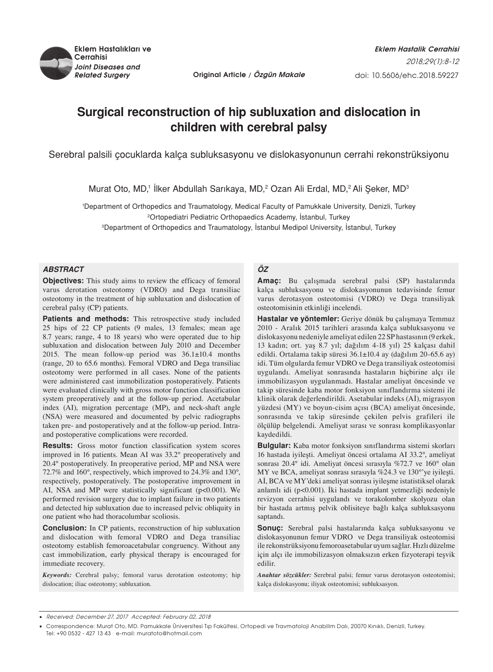

*Related Surgery* **Original Article / Özgün Makale**

# **Surgical reconstruction of hip subluxation and dislocation in children with cerebral palsy**

Serebral palsili çocuklarda kalça subluksasyonu ve dislokasyonunun cerrahi rekonstrüksiyonu

Murat Oto, MD,<sup>1</sup> llker Abdullah Sarıkaya, MD,<sup>2</sup> Ozan Ali Erdal, MD,<sup>2</sup> Ali Şeker, MD<sup>3</sup>

1 Department of Orthopedics and Traumatology, Medical Faculty of Pamukkale University, Denizli, Turkey 2Ortopediatri Pediatric Orthopaedics Academy, İstanbul, Turkey

3 Department of Orthopedics and Traumatology, İstanbul Medipol University, İstanbul, Turkey

## *ABSTRACT*

**Objectives:** This study aims to review the efficacy of femoral varus derotation osteotomy (VDRO) and Dega transiliac osteotomy in the treatment of hip subluxation and dislocation of cerebral palsy (CP) patients.

Patients and methods: This retrospective study included 25 hips of 22 CP patients (9 males, 13 females; mean age 8.7 years; range, 4 to 18 years) who were operated due to hip subluxation and dislocation between July 2010 and December 2015. The mean follow-up period was  $36.1 \pm 10.4$  months (range, 20 to 65.6 months). Femoral VDRO and Dega transiliac osteotomy were performed in all cases. None of the patients were administered cast immobilization postoperatively. Patients were evaluated clinically with gross motor function classification system preoperatively and at the follow-up period. Acetabular index (AI), migration percentage (MP), and neck-shaft angle (NSA) were measured and documented by pelvic radiographs taken pre- and postoperatively and at the follow-up period. Intraand postoperative complications were recorded.

**Results:** Gross motor function classification system scores improved in 16 patients. Mean AI was 33.2° preoperatively and 20.4° postoperatively. In preoperative period, MP and NSA were 72.7% and 160°, respectively, which improved to 24.3% and 130°, respectively, postoperatively. The postoperative improvement in AI, NSA and MP were statistically significant (p<0.001). We performed revision surgery due to implant failure in two patients and detected hip subluxation due to increased pelvic obliquity in one patient who had thoracolumbar scoliosis.

**Conclusion:** In CP patients, reconstruction of hip subluxation and dislocation with femoral VDRO and Dega transiliac osteotomy establish femoroacetabular congruency. Without any cast immobilization, early physical therapy is encouraged for immediate recovery.

*Keywords:* Cerebral palsy; femoral varus derotation osteotomy; hip dislocation; iliac osteotomy; subluxation.

# *ÖZ*

**Amaç:** Bu çalışmada serebral palsi (SP) hastalarında kalça subluksasyonu ve dislokasyonunun tedavisinde femur varus derotasyon osteotomisi (VDRO) ve Dega transiliyak osteotomisinin etkinliği incelendi.

**Hastalar ve yöntemler:** Geriye dönük bu çalışmaya Temmuz 2010 - Aralık 2015 tarihleri arasında kalça subluksasyonu ve dislokasyonu nedeniyle ameliyat edilen 22 SP hastasının (9 erkek, 13 kadın; ort. yaş 8.7 yıl; dağılım 4-18 yıl) 25 kalçası dahil edildi. Ortalama takip süresi 36.1±10.4 ay (dağılım 20-65.6 ay) idi. Tüm olgularda femur VDRO ve Dega transiliyak osteotomisi uygulandı. Ameliyat sonrasında hastaların hiçbirine alçı ile immobilizasyon uygulanmadı. Hastalar ameliyat öncesinde ve takip süresinde kaba motor fonksiyon sınıflandırma sistemi ile klinik olarak değerlendirildi. Asetabular indeks (Aİ), migrasyon yüzdesi (MY) ve boyun-cisim açısı (BCA) ameliyat öncesinde, sonrasında ve takip süresinde çekilen pelvis grafileri ile ölçülüp belgelendi. Ameliyat sırası ve sonrası komplikasyonlar kaydedildi.

**Bulgular:** Kaba motor fonksiyon sınıflandırma sistemi skorları 16 hastada iyileşti. Ameliyat öncesi ortalama AI 33.2°, ameliyat sonrası 20.4° idi. Ameliyat öncesi sırasıyla %72.7 ve 160° olan MY ve BCA, ameliyat sonrası sırasıyla %24.3 ve 130°'ye iyileşti. Aİ, BCA ve MY'deki ameliyat sonrası iyileşme istatistiksel olarak anlamlı idi (p<0.001). İki hastada implant yetmezliği nedeniyle revizyon cerrahisi uygulandı ve torakolomber skolyozu olan bir hastada artmış pelvik oblisiteye bağlı kalça subluksasyonu saptandı.

**Sonuç:** Serebral palsi hastalarında kalça subluksasyonu ve dislokasyonunun femur VDRO ve Dega transiliyak osteotomisi ile rekonstrüksiyonu femoroasetabular uyum sağlar. Hızlı düzelme için alçı ile immobilizasyon olmaksızın erken fizyoterapi teşvik edilir.

*Anahtar sözcükler:* Serebral palsi; femur varus derotasyon osteotomisi; kalça dislokasyonu; iliyak osteotomisi; subluksasyon.

Received: December 27, 2017 Accepted: February 02, 2018

Correspondence: Murat Oto, MD. Pamukkale Üniversitesi Tıp Fakültesi, Ortopedi ve Travmatoloji Anabilim Dalı, 20070 Kınıklı, Denizli, Turkey. Tel: +90 0532 - 427 13 43 e-mail: muratoto@hotmail.com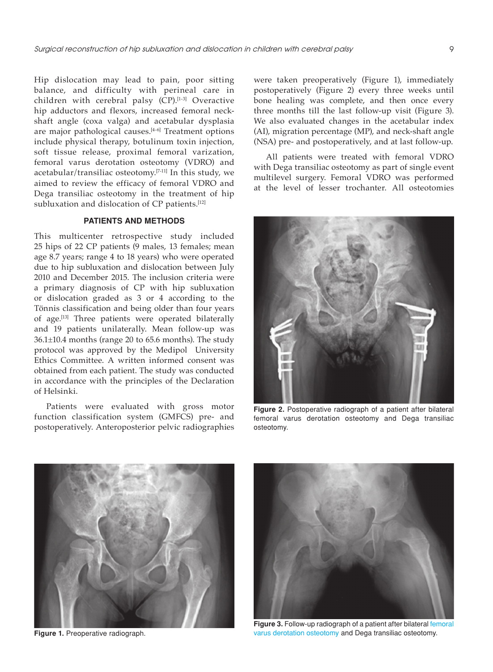Hip dislocation may lead to pain, poor sitting balance, and difficulty with perineal care in children with cerebral palsy  $(CP)$ .<sup>[1-3]</sup> Overactive hip adductors and flexors, increased femoral neckshaft angle (coxa valga) and acetabular dysplasia are major pathological causes.[4-6] Treatment options include physical therapy, botulinum toxin injection, soft tissue release, proximal femoral varization, femoral varus derotation osteotomy (VDRO) and acetabular/transiliac osteotomy.[7-11] In this study, we aimed to review the efficacy of femoral VDRO and Dega transiliac osteotomy in the treatment of hip subluxation and dislocation of CP patients.<sup>[12]</sup>

## **PATIENTS AND METHODS**

This multicenter retrospective study included 25 hips of 22 CP patients (9 males, 13 females; mean age 8.7 years; range 4 to 18 years) who were operated due to hip subluxation and dislocation between July 2010 and December 2015. The inclusion criteria were a primary diagnosis of CP with hip subluxation or dislocation graded as 3 or 4 according to the Tönnis classification and being older than four years of age.<sup>[13]</sup> Three patients were operated bilaterally and 19 patients unilaterally. Mean follow-up was 36.1±10.4 months (range 20 to 65.6 months). The study protocol was approved by the Medipol University Ethics Committee. A written informed consent was obtained from each patient. The study was conducted in accordance with the principles of the Declaration of Helsinki.

Patients were evaluated with gross motor function classification system (GMFCS) pre- and postoperatively. Anteroposterior pelvic radiographies

were taken preoperatively (Figure 1), immediately postoperatively (Figure 2) every three weeks until bone healing was complete, and then once every three months till the last follow-up visit (Figure 3). We also evaluated changes in the acetabular index (AI), migration percentage (MP), and neck-shaft angle (NSA) pre- and postoperatively, and at last follow-up.

All patients were treated with femoral VDRO with Dega transiliac osteotomy as part of single event multilevel surgery. Femoral VDRO was performed at the level of lesser trochanter. All osteotomies



**Figure 2.** Postoperative radiograph of a patient after bilateral femoral varus derotation osteotomy and Dega transiliac osteotomy.



**Figure 1.** Preoperative radiograph.



**Figure 3.** Follow-up radiograph of a patient after bilateral femoral varus derotation osteotomy and Dega transiliac osteotomy.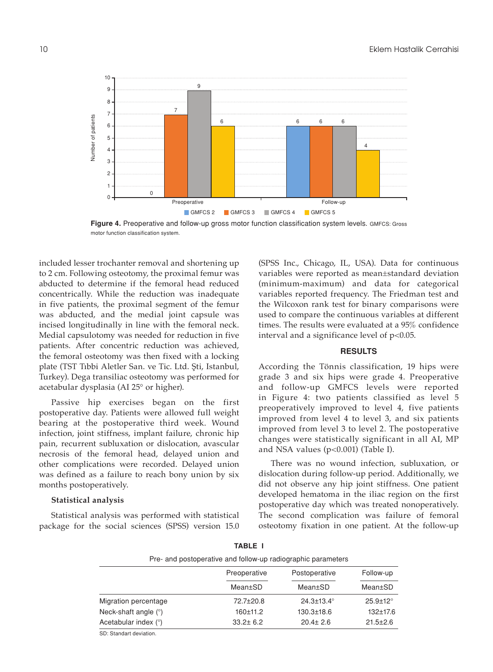

**Figure 4.** Preoperative and follow-up gross motor function classification system levels. GMFCS: Gross motor function classification system.

included lesser trochanter removal and shortening up to 2 cm. Following osteotomy, the proximal femur was abducted to determine if the femoral head reduced concentrically. While the reduction was inadequate in five patients, the proximal segment of the femur was abducted, and the medial joint capsule was incised longitudinally in line with the femoral neck. Medial capsulotomy was needed for reduction in five patients. After concentric reduction was achieved, the femoral osteotomy was then fixed with a locking plate (TST Tıbbi Aletler San. ve Tic. Ltd. Şti, Istanbul, Turkey). Dega transiliac osteotomy was performed for acetabular dysplasia (AI 25° or higher).

Passive hip exercises began on the first postoperative day. Patients were allowed full weight bearing at the postoperative third week. Wound infection, joint stiffness, implant failure, chronic hip pain, recurrent subluxation or dislocation, avascular necrosis of the femoral head, delayed union and other complications were recorded. Delayed union was defined as a failure to reach bony union by six months postoperatively.

#### **Statistical analysis**

Statistical analysis was performed with statistical package for the social sciences (SPSS) version 15.0 (SPSS Inc., Chicago, IL, USA). Data for continuous variables were reported as mean±standard deviation (minimum-maximum) and data for categorical variables reported frequency. The Friedman test and the Wilcoxon rank test for binary comparisons were used to compare the continuous variables at different times. The results were evaluated at a 95% confidence interval and a significance level of p<0.05.

#### **RESULTS**

According the Tönnis classification, 19 hips were grade 3 and six hips were grade 4. Preoperative and follow-up GMFCS levels were reported in Figure 4: two patients classified as level 5 preoperatively improved to level 4, five patients improved from level 4 to level 3, and six patients improved from level 3 to level 2. The postoperative changes were statistically significant in all AI, MP and NSA values (p<0.001) (Table I).

There was no wound infection, subluxation, or dislocation during follow-up period. Additionally, we did not observe any hip joint stiffness. One patient developed hematoma in the iliac region on the first postoperative day which was treated nonoperatively. The second complication was failure of femoral osteotomy fixation in one patient. At the follow-up

| Pre- and postoperative and follow-up radiographic parameters |                         |                          |                       |
|--------------------------------------------------------------|-------------------------|--------------------------|-----------------------|
|                                                              | Preoperative<br>Mean±SD | Postoperative<br>Mean±SD | Follow-up<br>Mean±SD  |
|                                                              |                         |                          |                       |
| Migration percentage                                         | $72.7 + 20.8$           | $24.3 \pm 13.4^{\circ}$  | $25.9 \pm 12^{\circ}$ |
| Neck-shaft angle $(°)$                                       | 160±11.2                | $130.3 \pm 18.6$         | $132 + 17.6$          |
| Acetabular index (°)                                         | $33.2 \pm 6.2$          | $20.4 \pm 2.6$           | $21.5 \pm 2.6$        |
| CD: Clandert deviation                                       |                         |                          |                       |

**Table I**

D: Standart deviation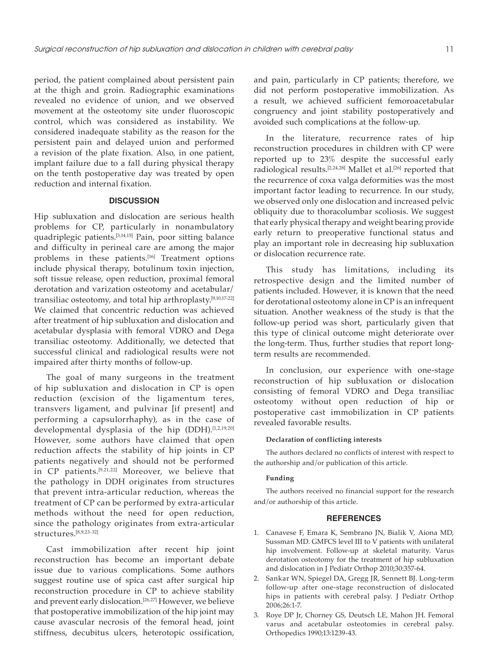period, the patient complained about persistent pain at the thigh and groin. Radiographic examinations revealed no evidence of union, and we observed movement at the osteotomy site under fluoroscopic control, which was considered as instability. We considered inadequate stability as the reason for the persistent pain and delayed union and performed a revision of the plate fixation. Also, in one patient, implant failure due to a fall during physical therapy on the tenth postoperative day was treated by open reduction and internal fixation.

#### **DISCUSSION**

Hip subluxation and dislocation are serious health problems for CP, particularly in nonambulatory quadriplegic patients.[3,14,15] Pain, poor sitting balance and difficulty in perineal care are among the major problems in these patients.<sup>[16]</sup> Treatment options include physical therapy, botulinum toxin injection, soft tissue release, open reduction, proximal femoral derotation and varization osteotomy and acetabular/ transiliac osteotomy, and total hip arthroplasty.[9,10,17-22] We claimed that concentric reduction was achieved after treatment of hip subluxation and dislocation and acetabular dysplasia with femoral VDRO and Dega transiliac osteotomy. Additionally, we detected that successful clinical and radiological results were not impaired after thirty months of follow-up.

The goal of many surgeons in the treatment of hip subluxation and dislocation in CP is open reduction (excision of the ligamentum teres, transvers ligament, and pulvinar [if present] and performing a capsulorrhaphy), as in the case of developmental dysplasia of the hip (DDH).<sup>[1,2,19,20]</sup> However, some authors have claimed that open reduction affects the stability of hip joints in CP patients negatively and should not be performed in CP patients.[9,21,22] Moreover, we believe that the pathology in DDH originates from structures that prevent intra-articular reduction, whereas the treatment of CP can be performed by extra-articular methods without the need for open reduction, since the pathology originates from extra-articular structures.[8,9,23-32]

Cast immobilization after recent hip joint reconstruction has become an important debate issue due to various complications. Some authors suggest routine use of spica cast after surgical hip reconstruction procedure in CP to achieve stability and prevent early dislocation.<sup>[26,27]</sup> However, we believe that postoperative immobilization of the hip joint may cause avascular necrosis of the femoral head, joint stiffness, decubitus ulcers, heterotopic ossification,

and pain, particularly in CP patients; therefore, we did not perform postoperative immobilization. As a result, we achieved sufficient femoroacetabular congruency and joint stability postoperatively and avoided such complications at the follow-up.

In the literature, recurrence rates of hip reconstruction procedures in children with CP were reported up to 23% despite the successful early radiological results.[2,24,28] Mallet et al.[26] reported that the recurrence of coxa valga deformities was the most important factor leading to recurrence. In our study, we observed only one dislocation and increased pelvic obliquity due to thoracolumbar scoliosis. We suggest that early physical therapy and weight bearing provide early return to preoperative functional status and play an important role in decreasing hip subluxation or dislocation recurrence rate.

This study has limitations, including its retrospective design and the limited number of patients included. However, it is known that the need for derotational osteotomy alone in CP is an infrequent situation. Another weakness of the study is that the follow-up period was short, particularly given that this type of clinical outcome might deteriorate over the long-term. Thus, further studies that report longterm results are recommended.

In conclusion, our experience with one-stage reconstruction of hip subluxation or dislocation consisting of femoral VDRO and Dega transiliac osteotomy without open reduction of hip or postoperative cast immobilization in CP patients revealed favorable results.

#### **Declaration of conflicting interests**

The authors declared no conflicts of interest with respect to the authorship and/or publication of this article.

### **Funding**

The authors received no financial support for the research and/or authorship of this article.

#### **REFERENCES**

- 1. Canavese F, Emara K, Sembrano JN, Bialik V, Aiona MD, Sussman MD. GMFCS level III to V patients with unilateral hip involvement. Follow-up at skeletal maturity. Varus derotation osteotomy for the treatment of hip subluxation and dislocation in J Pediatr Orthop 2010;30:357-64.
- 2. Sankar WN, Spiegel DA, Gregg JR, Sennett BJ. Long-term follow-up after one-stage reconstruction of dislocated hips in patients with cerebral palsy. J Pediatr Orthop 2006;26:1-7.
- 3. Roye DP Jr, Chorney GS, Deutsch LE, Mahon JH. Femoral varus and acetabular osteotomies in cerebral palsy. Orthopedics 1990;13:1239-43.